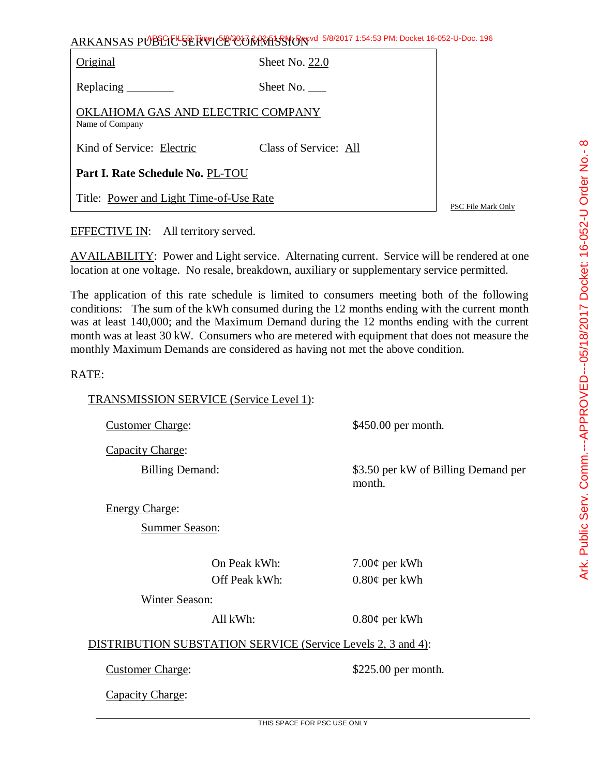|          | ARKANSAS PUBLIC-SERVICE COMMISSION ORAL 1:54:53 PM: Docket 16-052-0-Doc. 196 |  |
|----------|------------------------------------------------------------------------------|--|
| Original | Sheet No. $22.0$                                                             |  |

APSC FILED Time: 5/8/2017 2:02:51 PM: Recvd 5/8/2017 1:54:53 PM: Docket 16-052-U-Doc. 196

Replacing Sheet No.

OKLAHOMA GAS AND ELECTRIC COMPANY Name of Company

Kind of Service: Electric Class of Service: All

**Part I. Rate Schedule No.** PL-TOU

Title: Power and Light Time-of-Use Rate

PSC File Mark Only

EFFECTIVE IN: All territory served.

AVAILABILITY: Power and Light service. Alternating current. Service will be rendered at one location at one voltage. No resale, breakdown, auxiliary or supplementary service permitted.

The application of this rate schedule is limited to consumers meeting both of the following conditions: The sum of the kWh consumed during the 12 months ending with the current month was at least 140,000; and the Maximum Demand during the 12 months ending with the current month was at least 30 kW. Consumers who are metered with equipment that does not measure the monthly Maximum Demands are considered as having not met the above condition.

## RATE:

TRANSMISSION SERVICE (Service Level 1):

Customer Charge: \$450.00 per month.

Capacity Charge:

Billing Demand:  $$3.50$  per kW of Billing Demand per month.

Energy Charge:

Summer Season:

On Peak kWh: 7.00¢ per kWh

Off Peak kWh: 0.80¢ per kWh

Winter Season:

All kWh: 0.80¢ per kWh

DISTRIBUTION SUBSTATION SERVICE (Service Levels 2, 3 and 4):

Customer Charge:  $$225.00$  per month.

Capacity Charge: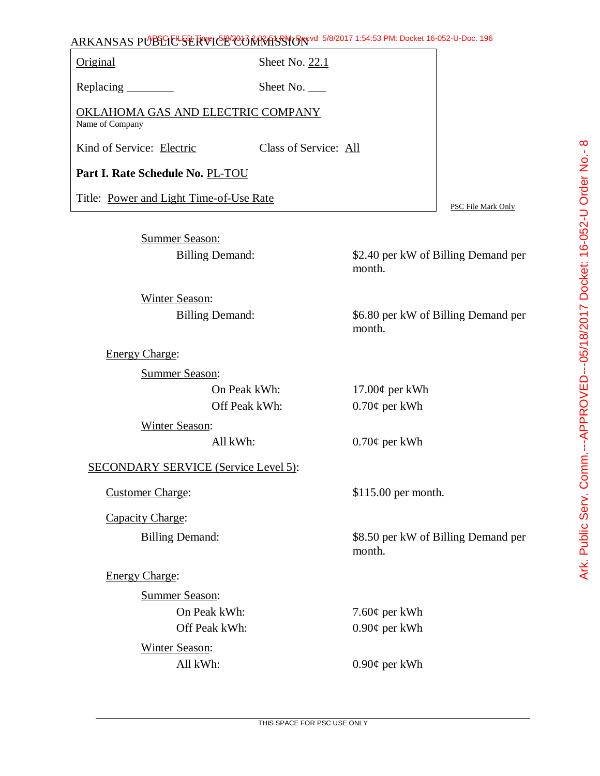## ARKANSAS PUBLIC SERVICE COMMISSION 5/8/2017 1:54:53 PM: Docket 16-052-U-Doc. 196

Original Sheet No. 22.1

Replacing Sheet No.

OKLAHOMA GAS AND ELECTRIC COMPANY Name of Company

Kind of Service: Electric Class of Service: All

**Part I. Rate Schedule No.** PL-TOU

Title: Power and Light Time-of-Use Rate

Summer Season:

Billing Demand: \$2.40 per kW of Billing Demand per month.

PSC File Mark Only

Winter Season: Billing Demand: \$6.80 per kW of Billing Demand per

Energy Charge:

Summer Season:

| On Peak kWh:   | $17.00\phi$ per kWh |
|----------------|---------------------|
| Off Peak kWh:  | $0.70\phi$ per kWh  |
| Winter Season: |                     |

SECONDARY SERVICE (Service Level 5):

Capacity Charge:

Energy Charge:

Summer Season: On Peak kWh:  $7.60¢$  per kWh Off Peak kWh: 0.90¢ per kWh

Winter Season:

All kWh:  $0.70¢$  per kWh

month.

Customer Charge: \$115.00 per month.

Billing Demand: \$8.50 per kW of Billing Demand per month.

All kWh: 0.90¢ per kWh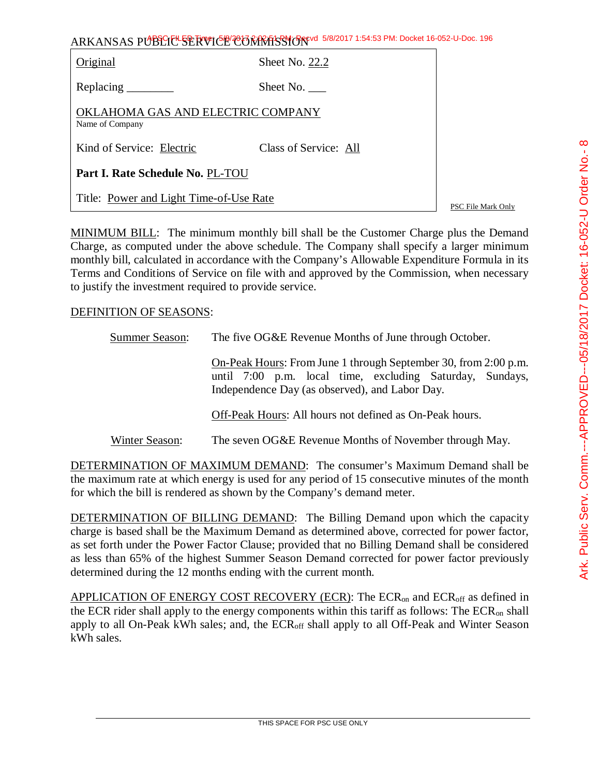| ARKANSAS PUBLICE SERVICE CONTRASSION 5/8/2017 1:54:53 PM: Docket 16-052-U-Doc. 196 |
|------------------------------------------------------------------------------------|
|------------------------------------------------------------------------------------|

| Original                                             | Sheet No. 22.2        |  |
|------------------------------------------------------|-----------------------|--|
| Replacing $\frac{\ }{\ }$                            | Sheet No.             |  |
| OKLAHOMA GAS AND ELECTRIC COMPANY<br>Name of Company |                       |  |
| Kind of Service: Electric                            | Class of Service: All |  |
| Part I. Rate Schedule No. PL-TOU                     |                       |  |
| Title: Power and Light Time-of-Use Rate              |                       |  |

PSC File Mark Only

MINIMUM BILL: The minimum monthly bill shall be the Customer Charge plus the Demand Charge, as computed under the above schedule. The Company shall specify a larger minimum monthly bill, calculated in accordance with the Company's Allowable Expenditure Formula in its Terms and Conditions of Service on file with and approved by the Commission, when necessary to justify the investment required to provide service.

## DEFINITION OF SEASONS:

| <b>Summer Season:</b> | The five OG&E Revenue Months of June through October.<br>On-Peak Hours: From June 1 through September 30, from 2:00 p.m.<br>until 7:00 p.m. local time, excluding Saturday, Sundays,<br>Independence Day (as observed), and Labor Day.<br>Off-Peak Hours: All hours not defined as On-Peak hours. |  |
|-----------------------|---------------------------------------------------------------------------------------------------------------------------------------------------------------------------------------------------------------------------------------------------------------------------------------------------|--|
|                       |                                                                                                                                                                                                                                                                                                   |  |
|                       |                                                                                                                                                                                                                                                                                                   |  |
| Winter Season:        | The seven OG&E Revenue Months of November through May.                                                                                                                                                                                                                                            |  |

DETERMINATION OF MAXIMUM DEMAND: The consumer's Maximum Demand shall be the maximum rate at which energy is used for any period of 15 consecutive minutes of the month for which the bill is rendered as shown by the Company's demand meter.

DETERMINATION OF BILLING DEMAND: The Billing Demand upon which the capacity charge is based shall be the Maximum Demand as determined above, corrected for power factor, as set forth under the Power Factor Clause; provided that no Billing Demand shall be considered as less than 65% of the highest Summer Season Demand corrected for power factor previously determined during the 12 months ending with the current month.

APPLICATION OF ENERGY COST RECOVERY (ECR): The ECR<sub>on</sub> and ECR<sub>off</sub> as defined in the ECR rider shall apply to the energy components within this tariff as follows: The  $ECR_{on}$  shall apply to all On-Peak kWh sales; and, the ECR<sub>off</sub> shall apply to all Off-Peak and Winter Season kWh sales.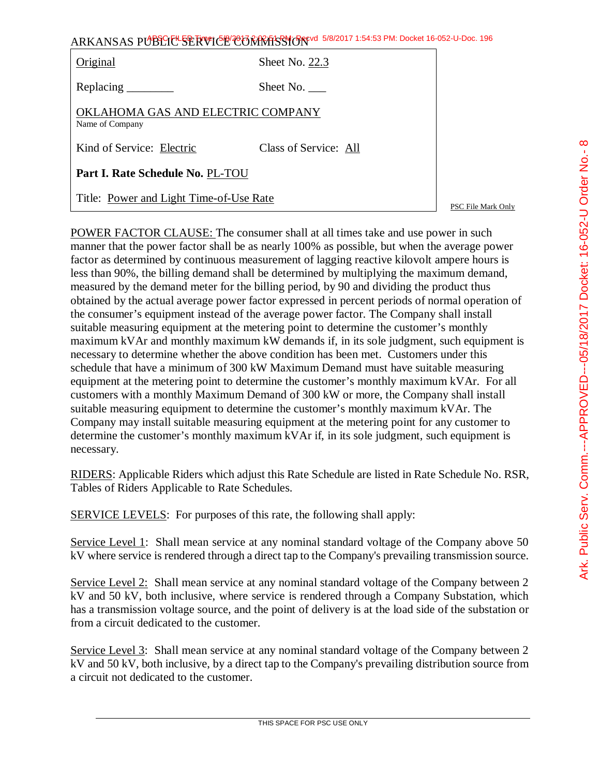| ARKANSAS PUBLIC SERVICE CORRECTION 5/8/2017 1:54:53 PM: Docket 16-052-U-Doc. 196 |                       |  |
|----------------------------------------------------------------------------------|-----------------------|--|
| Original                                                                         | Sheet No. 22.3        |  |
| Replacing _________                                                              | Sheet No.             |  |
| OKLAHOMA GAS AND ELECTRIC COMPANY<br>Name of Company                             |                       |  |
| Kind of Service: Electric                                                        | Class of Service: All |  |

**Part I. Rate Schedule No.** PL-TOU

Title: Power and Light Time-of-Use Rate

PSC File Mark Only

POWER FACTOR CLAUSE: The consumer shall at all times take and use power in such manner that the power factor shall be as nearly 100% as possible, but when the average power factor as determined by continuous measurement of lagging reactive kilovolt ampere hours is less than 90%, the billing demand shall be determined by multiplying the maximum demand, measured by the demand meter for the billing period, by 90 and dividing the product thus obtained by the actual average power factor expressed in percent periods of normal operation of the consumer's equipment instead of the average power factor. The Company shall install suitable measuring equipment at the metering point to determine the customer's monthly maximum kVAr and monthly maximum kW demands if, in its sole judgment, such equipment is necessary to determine whether the above condition has been met. Customers under this schedule that have a minimum of 300 kW Maximum Demand must have suitable measuring equipment at the metering point to determine the customer's monthly maximum kVAr. For all customers with a monthly Maximum Demand of 300 kW or more, the Company shall install suitable measuring equipment to determine the customer's monthly maximum kVAr. The Company may install suitable measuring equipment at the metering point for any customer to determine the customer's monthly maximum kVAr if, in its sole judgment, such equipment is necessary.

RIDERS: Applicable Riders which adjust this Rate Schedule are listed in Rate Schedule No. RSR, Tables of Riders Applicable to Rate Schedules.

SERVICE LEVELS: For purposes of this rate, the following shall apply:

Service Level 1: Shall mean service at any nominal standard voltage of the Company above 50 kV where service is rendered through a direct tap to the Company's prevailing transmission source.

Service Level 2: Shall mean service at any nominal standard voltage of the Company between 2 kV and 50 kV, both inclusive, where service is rendered through a Company Substation, which has a transmission voltage source, and the point of delivery is at the load side of the substation or from a circuit dedicated to the customer.

Service Level 3: Shall mean service at any nominal standard voltage of the Company between 2 kV and 50 kV, both inclusive, by a direct tap to the Company's prevailing distribution source from a circuit not dedicated to the customer.